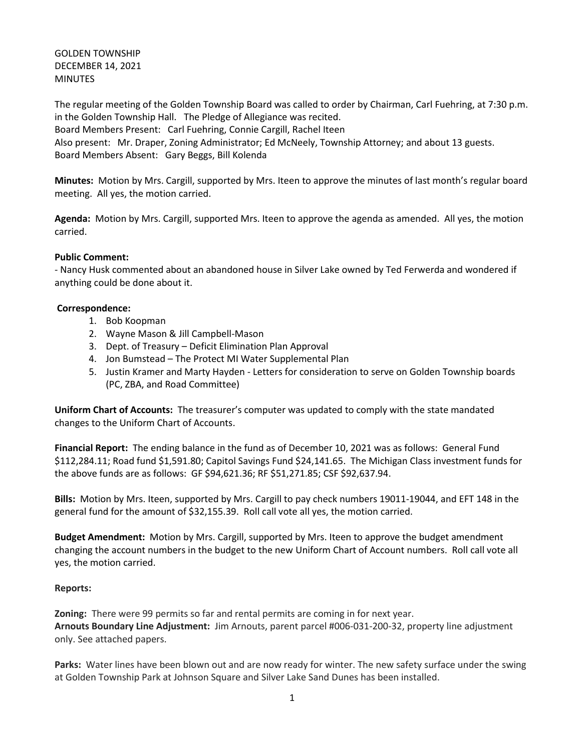## GOLDEN TOWNSHIP DECEMBER 14, 2021 **MINUTES**

The regular meeting of the Golden Township Board was called to order by Chairman, Carl Fuehring, at 7:30 p.m. in the Golden Township Hall. The Pledge of Allegiance was recited. Board Members Present: Carl Fuehring, Connie Cargill, Rachel Iteen Also present: Mr. Draper, Zoning Administrator; Ed McNeely, Township Attorney; and about 13 guests. Board Members Absent: Gary Beggs, Bill Kolenda

**Minutes:** Motion by Mrs. Cargill, supported by Mrs. Iteen to approve the minutes of last month's regular board meeting. All yes, the motion carried.

**Agenda:** Motion by Mrs. Cargill, supported Mrs. Iteen to approve the agenda as amended. All yes, the motion carried.

#### **Public Comment:**

- Nancy Husk commented about an abandoned house in Silver Lake owned by Ted Ferwerda and wondered if anything could be done about it.

#### **Correspondence:**

- 1. Bob Koopman
- 2. Wayne Mason & Jill Campbell-Mason
- 3. Dept. of Treasury Deficit Elimination Plan Approval
- 4. Jon Bumstead The Protect MI Water Supplemental Plan
- 5. Justin Kramer and Marty Hayden Letters for consideration to serve on Golden Township boards (PC, ZBA, and Road Committee)

**Uniform Chart of Accounts:** The treasurer's computer was updated to comply with the state mandated changes to the Uniform Chart of Accounts.

**Financial Report:** The ending balance in the fund as of December 10, 2021 was as follows: General Fund \$112,284.11; Road fund \$1,591.80; Capitol Savings Fund \$24,141.65. The Michigan Class investment funds for the above funds are as follows: GF \$94,621.36; RF \$51,271.85; CSF \$92,637.94.

**Bills:** Motion by Mrs. Iteen, supported by Mrs. Cargill to pay check numbers 19011-19044, and EFT 148 in the general fund for the amount of \$32,155.39. Roll call vote all yes, the motion carried.

**Budget Amendment:** Motion by Mrs. Cargill, supported by Mrs. Iteen to approve the budget amendment changing the account numbers in the budget to the new Uniform Chart of Account numbers. Roll call vote all yes, the motion carried.

### **Reports:**

**Zoning:** There were 99 permits so far and rental permits are coming in for next year. **Arnouts Boundary Line Adjustment:** Jim Arnouts, parent parcel #006-031-200-32, property line adjustment only. See attached papers.

**Parks:** Water lines have been blown out and are now ready for winter. The new safety surface under the swing at Golden Township Park at Johnson Square and Silver Lake Sand Dunes has been installed.